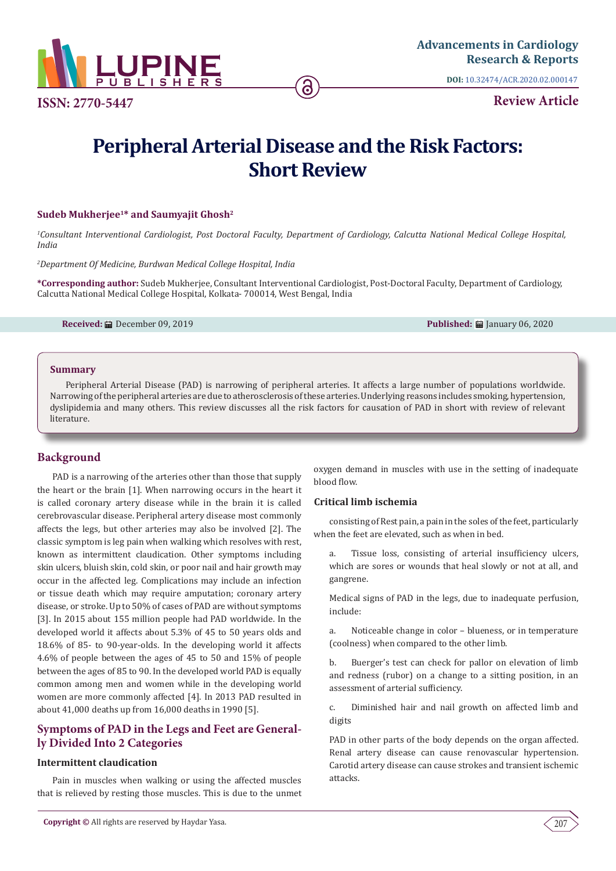

**ISSN: 2770-5447**

**DOI:** [10.32474/ACR.2020.02.000147](http://dx.doi.org/10.32474/ACR.2020.02.000147)

**Review Article**

# **Peripheral Arterial Disease and the Risk Factors: Short Review**

# **Sudeb Mukherjee1\* and Saumyajit Ghosh2**

*1 Consultant Interventional Cardiologist, Post Doctoral Faculty, Department of Cardiology, Calcutta National Medical College Hospital, India*

*2 Department Of Medicine, Burdwan Medical College Hospital, India*

**\*Corresponding author:** Sudeb Mukherjee, Consultant Interventional Cardiologist, Post-Doctoral Faculty, Department of Cardiology, Calcutta National Medical College Hospital, Kolkata- 700014, West Bengal, India

**Received:** ■ December 09, 2019 **Published:** ■ January 06, 2020

#### **Summary**

Peripheral Arterial Disease (PAD) is narrowing of peripheral arteries. It affects a large number of populations worldwide. Narrowing of the peripheral arteries are due to atherosclerosis of these arteries. Underlying reasons includes smoking, hypertension, dyslipidemia and many others. This review discusses all the risk factors for causation of PAD in short with review of relevant literature.

# **Background**

PAD is a narrowing of the arteries other than those that supply the heart or the brain [1]. When narrowing occurs in the heart it is called coronary artery disease while in the brain it is called cerebrovascular disease. Peripheral artery disease most commonly affects the legs, but other arteries may also be involved [2]. The classic symptom is leg pain when walking which resolves with rest, known as intermittent claudication. Other symptoms including skin ulcers, bluish skin, cold skin, or poor nail and hair growth may occur in the affected leg. Complications may include an infection or tissue death which may require amputation; coronary artery disease, or stroke. Up to 50% of cases of PAD are without symptoms [3]. In 2015 about 155 million people had PAD worldwide. In the developed world it affects about 5.3% of 45 to 50 years olds and 18.6% of 85- to 90-year-olds. In the developing world it affects 4.6% of people between the ages of 45 to 50 and 15% of people between the ages of 85 to 90. In the developed world PAD is equally common among men and women while in the developing world women are more commonly affected [4]. In 2013 PAD resulted in about 41,000 deaths up from 16,000 deaths in 1990 [5].

# **Symptoms of PAD in the Legs and Feet are Generally Divided Into 2 Categories**

# **Intermittent claudication**

Pain in muscles when walking or using the affected muscles that is relieved by resting those muscles. This is due to the unmet oxygen demand in muscles with use in the setting of inadequate blood flow.

# **Critical limb ischemia**

consisting of Rest pain, a pain in the soles of the feet, particularly when the feet are elevated, such as when in bed.

a. Tissue loss, consisting of arterial insufficiency ulcers, which are sores or wounds that heal slowly or not at all, and gangrene.

Medical signs of PAD in the legs, due to inadequate perfusion, include:

a. Noticeable change in color – blueness, or in temperature (coolness) when compared to the other limb.

b. Buerger's test can check for pallor on elevation of limb and redness (rubor) on a change to a sitting position, in an assessment of arterial sufficiency.

c. Diminished hair and nail growth on affected limb and digits

PAD in other parts of the body depends on the organ affected. Renal artery disease can cause renovascular hypertension. Carotid artery disease can cause strokes and transient ischemic attacks.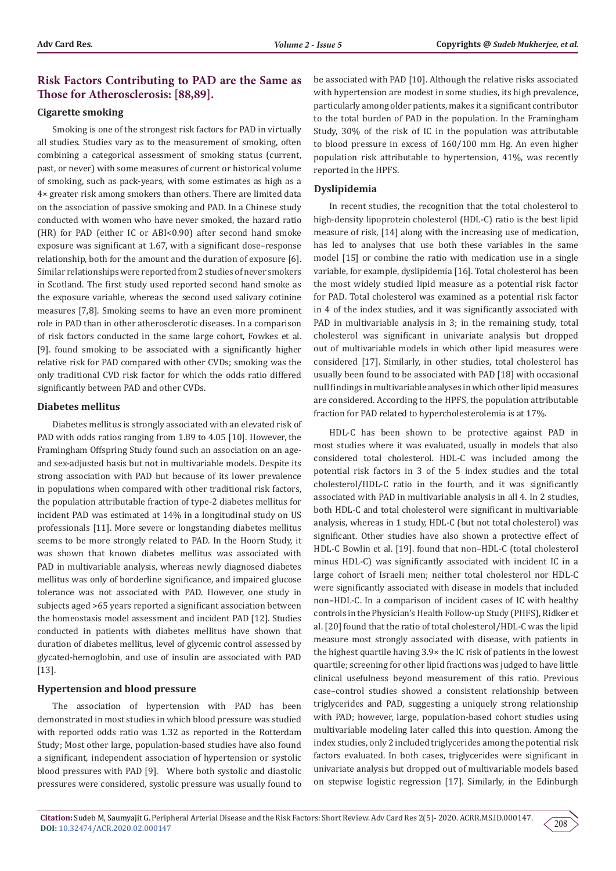# **Risk Factors Contributing to PAD are the Same as Those for Atherosclerosis: [88,89].**

#### **Cigarette smoking**

Smoking is one of the strongest risk factors for PAD in virtually all studies. Studies vary as to the measurement of smoking, often combining a categorical assessment of smoking status (current, past, or never) with some measures of current or historical volume of smoking, such as pack-years, with some estimates as high as a 4× greater risk among smokers than others. There are limited data on the association of passive smoking and PAD. In a Chinese study conducted with women who have never smoked, the hazard ratio (HR) for PAD (either IC or ABI<0.90) after second hand smoke exposure was significant at 1.67, with a significant dose–response relationship, both for the amount and the duration of exposure [6]. Similar relationships were reported from 2 studies of never smokers in Scotland. The first study used reported second hand smoke as the exposure variable, whereas the second used salivary cotinine measures [7,8]. Smoking seems to have an even more prominent role in PAD than in other atherosclerotic diseases. In a comparison of risk factors conducted in the same large cohort, Fowkes et al. [9]. found smoking to be associated with a significantly higher relative risk for PAD compared with other CVDs; smoking was the only traditional CVD risk factor for which the odds ratio differed significantly between PAD and other CVDs.

### **Diabetes mellitus**

Diabetes mellitus is strongly associated with an elevated risk of PAD with odds ratios ranging from 1.89 to 4.05 [10]. However, the Framingham Offspring Study found such an association on an ageand sex-adjusted basis but not in multivariable models. Despite its strong association with PAD but because of its lower prevalence in populations when compared with other traditional risk factors, the population attributable fraction of type-2 diabetes mellitus for incident PAD was estimated at 14% in a longitudinal study on US professionals [11]. More severe or longstanding diabetes mellitus seems to be more strongly related to PAD. In the Hoorn Study, it was shown that known diabetes mellitus was associated with PAD in multivariable analysis, whereas newly diagnosed diabetes mellitus was only of borderline significance, and impaired glucose tolerance was not associated with PAD. However, one study in subjects aged >65 years reported a significant association between the homeostasis model assessment and incident PAD [12]. Studies conducted in patients with diabetes mellitus have shown that duration of diabetes mellitus, level of glycemic control assessed by glycated-hemoglobin, and use of insulin are associated with PAD [13].

#### **Hypertension and blood pressure**

The association of hypertension with PAD has been demonstrated in most studies in which blood pressure was studied with reported odds ratio was 1.32 as reported in the Rotterdam Study; Most other large, population-based studies have also found a significant, independent association of hypertension or systolic blood pressures with PAD [9]. Where both systolic and diastolic pressures were considered, systolic pressure was usually found to

be associated with PAD [10]. Although the relative risks associated with hypertension are modest in some studies, its high prevalence, particularly among older patients, makes it a significant contributor to the total burden of PAD in the population. In the Framingham Study, 30% of the risk of IC in the population was attributable to blood pressure in excess of 160/100 mm Hg. An even higher population risk attributable to hypertension, 41%, was recently reported in the HPFS.

#### **Dyslipidemia**

In recent studies, the recognition that the total cholesterol to high-density lipoprotein cholesterol (HDL-C) ratio is the best lipid measure of risk, [14] along with the increasing use of medication, has led to analyses that use both these variables in the same model [15] or combine the ratio with medication use in a single variable, for example, dyslipidemia [16]. Total cholesterol has been the most widely studied lipid measure as a potential risk factor for PAD. Total cholesterol was examined as a potential risk factor in 4 of the index studies, and it was significantly associated with PAD in multivariable analysis in 3; in the remaining study, total cholesterol was significant in univariate analysis but dropped out of multivariable models in which other lipid measures were considered [17]. Similarly, in other studies, total cholesterol has usually been found to be associated with PAD [18] with occasional null findings in multivariable analyses in which other lipid measures are considered. According to the HPFS, the population attributable fraction for PAD related to hypercholesterolemia is at 17%.

HDL-C has been shown to be protective against PAD in most studies where it was evaluated, usually in models that also considered total cholesterol. HDL-C was included among the potential risk factors in 3 of the 5 index studies and the total cholesterol/HDL-C ratio in the fourth, and it was significantly associated with PAD in multivariable analysis in all 4. In 2 studies, both HDL-C and total cholesterol were significant in multivariable analysis, whereas in 1 study, HDL-C (but not total cholesterol) was significant. Other studies have also shown a protective effect of HDL-C Bowlin et al. [19]. found that non–HDL-C (total cholesterol minus HDL-C) was significantly associated with incident IC in a large cohort of Israeli men; neither total cholesterol nor HDL-C were significantly associated with disease in models that included non–HDL-C. In a comparison of incident cases of IC with healthy controls in the Physician's Health Follow-up Study (PHFS), Ridker et al. [20] found that the ratio of total cholesterol/HDL-C was the lipid measure most strongly associated with disease, with patients in the highest quartile having 3.9× the IC risk of patients in the lowest quartile; screening for other lipid fractions was judged to have little clinical usefulness beyond measurement of this ratio. Previous case–control studies showed a consistent relationship between triglycerides and PAD, suggesting a uniquely strong relationship with PAD; however, large, population-based cohort studies using multivariable modeling later called this into question. Among the index studies, only 2 included triglycerides among the potential risk factors evaluated. In both cases, triglycerides were significant in univariate analysis but dropped out of multivariable models based on stepwise logistic regression [17]. Similarly, in the Edinburgh

208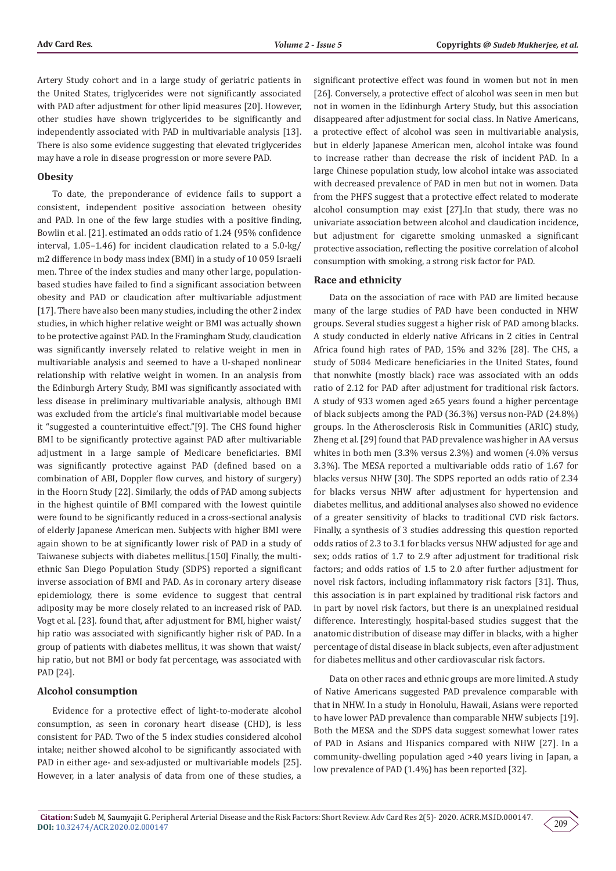Artery Study cohort and in a large study of geriatric patients in the United States, triglycerides were not significantly associated with PAD after adjustment for other lipid measures [20]. However, other studies have shown triglycerides to be significantly and independently associated with PAD in multivariable analysis [13]. There is also some evidence suggesting that elevated triglycerides may have a role in disease progression or more severe PAD.

#### **Obesity**

To date, the preponderance of evidence fails to support a consistent, independent positive association between obesity and PAD. In one of the few large studies with a positive finding, Bowlin et al. [21]. estimated an odds ratio of 1.24 (95% confidence interval, 1.05–1.46) for incident claudication related to a 5.0-kg/ m2 difference in body mass index (BMI) in a study of 10 059 Israeli men. Three of the index studies and many other large, populationbased studies have failed to find a significant association between obesity and PAD or claudication after multivariable adjustment [17]. There have also been many studies, including the other 2 index studies, in which higher relative weight or BMI was actually shown to be protective against PAD. In the Framingham Study, claudication was significantly inversely related to relative weight in men in multivariable analysis and seemed to have a U-shaped nonlinear relationship with relative weight in women. In an analysis from the Edinburgh Artery Study, BMI was significantly associated with less disease in preliminary multivariable analysis, although BMI was excluded from the article's final multivariable model because it "suggested a counterintuitive effect."[9]. The CHS found higher BMI to be significantly protective against PAD after multivariable adjustment in a large sample of Medicare beneficiaries. BMI was significantly protective against PAD (defined based on a combination of ABI, Doppler flow curves, and history of surgery) in the Hoorn Study [22]. Similarly, the odds of PAD among subjects in the highest quintile of BMI compared with the lowest quintile were found to be significantly reduced in a cross-sectional analysis of elderly Japanese American men. Subjects with higher BMI were again shown to be at significantly lower risk of PAD in a study of Taiwanese subjects with diabetes mellitus.[150] Finally, the multiethnic San Diego Population Study (SDPS) reported a significant inverse association of BMI and PAD. As in coronary artery disease epidemiology, there is some evidence to suggest that central adiposity may be more closely related to an increased risk of PAD. Vogt et al. [23]. found that, after adjustment for BMI, higher waist/ hip ratio was associated with significantly higher risk of PAD. In a group of patients with diabetes mellitus, it was shown that waist/ hip ratio, but not BMI or body fat percentage, was associated with PAD [24].

#### **Alcohol consumption**

Evidence for a protective effect of light-to-moderate alcohol consumption, as seen in coronary heart disease (CHD), is less consistent for PAD. Two of the 5 index studies considered alcohol intake; neither showed alcohol to be significantly associated with PAD in either age- and sex-adjusted or multivariable models [25]. However, in a later analysis of data from one of these studies, a significant protective effect was found in women but not in men [26]. Conversely, a protective effect of alcohol was seen in men but not in women in the Edinburgh Artery Study, but this association disappeared after adjustment for social class. In Native Americans, a protective effect of alcohol was seen in multivariable analysis, but in elderly Japanese American men, alcohol intake was found to increase rather than decrease the risk of incident PAD. In a large Chinese population study, low alcohol intake was associated with decreased prevalence of PAD in men but not in women. Data from the PHFS suggest that a protective effect related to moderate alcohol consumption may exist [27].In that study, there was no univariate association between alcohol and claudication incidence, but adjustment for cigarette smoking unmasked a significant protective association, reflecting the positive correlation of alcohol consumption with smoking, a strong risk factor for PAD.

#### **Race and ethnicity**

Data on the association of race with PAD are limited because many of the large studies of PAD have been conducted in NHW groups. Several studies suggest a higher risk of PAD among blacks. A study conducted in elderly native Africans in 2 cities in Central Africa found high rates of PAD, 15% and 32% [28]. The CHS, a study of 5084 Medicare beneficiaries in the United States, found that nonwhite (mostly black) race was associated with an odds ratio of 2.12 for PAD after adjustment for traditional risk factors. A study of 933 women aged ≥65 years found a higher percentage of black subjects among the PAD (36.3%) versus non-PAD (24.8%) groups. In the Atherosclerosis Risk in Communities (ARIC) study, Zheng et al. [29] found that PAD prevalence was higher in AA versus whites in both men (3.3% versus 2.3%) and women (4.0% versus 3.3%). The MESA reported a multivariable odds ratio of 1.67 for blacks versus NHW [30]. The SDPS reported an odds ratio of 2.34 for blacks versus NHW after adjustment for hypertension and diabetes mellitus, and additional analyses also showed no evidence of a greater sensitivity of blacks to traditional CVD risk factors. Finally, a synthesis of 3 studies addressing this question reported odds ratios of 2.3 to 3.1 for blacks versus NHW adjusted for age and sex; odds ratios of 1.7 to 2.9 after adjustment for traditional risk factors; and odds ratios of 1.5 to 2.0 after further adjustment for novel risk factors, including inflammatory risk factors [31]. Thus, this association is in part explained by traditional risk factors and in part by novel risk factors, but there is an unexplained residual difference. Interestingly, hospital-based studies suggest that the anatomic distribution of disease may differ in blacks, with a higher percentage of distal disease in black subjects, even after adjustment for diabetes mellitus and other cardiovascular risk factors.

Data on other races and ethnic groups are more limited. A study of Native Americans suggested PAD prevalence comparable with that in NHW. In a study in Honolulu, Hawaii, Asians were reported to have lower PAD prevalence than comparable NHW subjects [19]. Both the MESA and the SDPS data suggest somewhat lower rates of PAD in Asians and Hispanics compared with NHW [27]. In a community-dwelling population aged >40 years living in Japan, a low prevalence of PAD (1.4%) has been reported [32].

209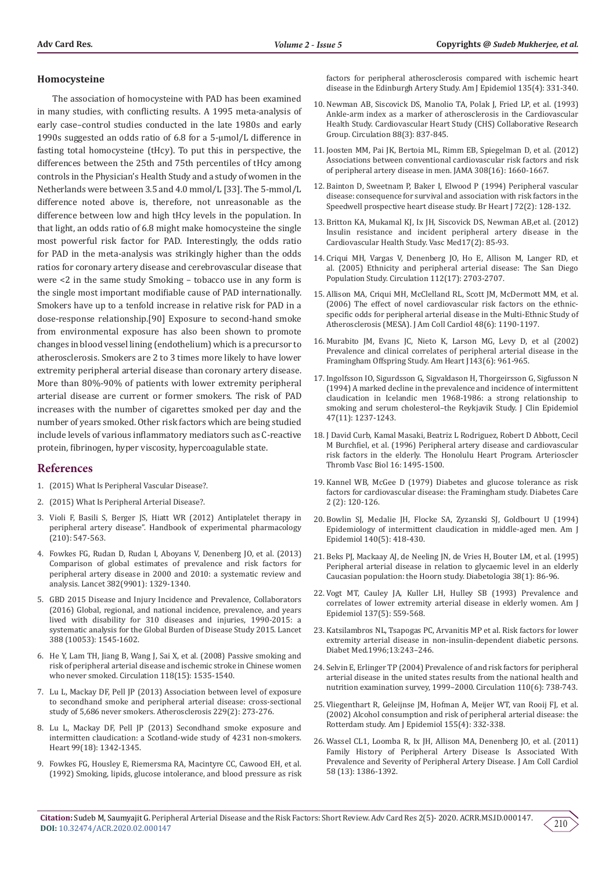#### **Homocysteine**

The association of homocysteine with PAD has been examined in many studies, with conflicting results. A 1995 meta-analysis of early case–control studies conducted in the late 1980s and early 1990s suggested an odds ratio of 6.8 for a 5-μmol/L difference in fasting total homocysteine (tHcy). To put this in perspective, the differences between the 25th and 75th percentiles of tHcy among controls in the Physician's Health Study and a study of women in the Netherlands were between 3.5 and 4.0 mmol/L [33]. The 5-mmol/L difference noted above is, therefore, not unreasonable as the difference between low and high tHcy levels in the population. In that light, an odds ratio of 6.8 might make homocysteine the single most powerful risk factor for PAD. Interestingly, the odds ratio for PAD in the meta-analysis was strikingly higher than the odds ratios for coronary artery disease and cerebrovascular disease that were <2 in the same study Smoking – tobacco use in any form is the single most important modifiable cause of PAD internationally. Smokers have up to a tenfold increase in relative risk for PAD in a dose-response relationship.[90] Exposure to second-hand smoke from environmental exposure has also been shown to promote changes in blood vessel lining (endothelium) which is a precursor to atherosclerosis. Smokers are 2 to 3 times more likely to have lower extremity peripheral arterial disease than coronary artery disease. More than 80%-90% of patients with lower extremity peripheral arterial disease are current or former smokers. The risk of PAD increases with the number of cigarettes smoked per day and the number of years smoked. Other risk factors which are being studied include levels of various inflammatory mediators such as C-reactive protein, fibrinogen, hyper viscosity, hypercoagulable state.

# **References**

- 1. (2015) What Is Peripheral Vascular Disease?.
- 2. (2015) What Is Peripheral Arterial Disease?.
- 3. [Violi F, Basili S, Berger JS, Hiatt WR \(2012\) Antiplatelet therapy in](https://www.ncbi.nlm.nih.gov/pubmed/22918746)  [peripheral artery disease". Handbook of experimental pharmacology](https://www.ncbi.nlm.nih.gov/pubmed/22918746)  [\(210\): 547-563.](https://www.ncbi.nlm.nih.gov/pubmed/22918746)
- 4. [Fowkes FG, Rudan D, Rudan I, Aboyans V, Denenberg JO, et al. \(2013\)](https://www.ncbi.nlm.nih.gov/pubmed/23915883)  [Comparison of global estimates of prevalence and risk factors for](https://www.ncbi.nlm.nih.gov/pubmed/23915883)  [peripheral artery disease in 2000 and 2010: a systematic review and](https://www.ncbi.nlm.nih.gov/pubmed/23915883)  [analysis. Lancet 382\(9901\): 1329-1340.](https://www.ncbi.nlm.nih.gov/pubmed/23915883)
- 5. [GBD 2015 Disease and Injury Incidence and Prevalence, Collaborators](https://www.ncbi.nlm.nih.gov/pubmed/27733282)  [\(2016\) Global, regional, and national incidence, prevalence, and years](https://www.ncbi.nlm.nih.gov/pubmed/27733282)  [lived with disability for 310 diseases and injuries, 1990-2015: a](https://www.ncbi.nlm.nih.gov/pubmed/27733282)  [systematic analysis for the Global Burden of Disease Study 2015. Lancet](https://www.ncbi.nlm.nih.gov/pubmed/27733282)  [388 \(10053\): 1545-1602.](https://www.ncbi.nlm.nih.gov/pubmed/27733282)
- 6. [He Y, Lam TH, Jiang B, Wang J, Sai X, et al. \(2008\) Passive smoking and](https://www.ncbi.nlm.nih.gov/pubmed/18809795)  [risk of peripheral arterial disease and ischemic stroke in Chinese women](https://www.ncbi.nlm.nih.gov/pubmed/18809795)  [who never smoked. Circulation 118\(15\): 1535-1540.](https://www.ncbi.nlm.nih.gov/pubmed/18809795)
- 7. [Lu L, Mackay DF, Pell JP \(2013\) Association between level of exposure](https://www.ncbi.nlm.nih.gov/pubmed/23880175)  [to secondhand smoke and peripheral arterial disease: cross-sectional](https://www.ncbi.nlm.nih.gov/pubmed/23880175)  [study of 5,686 never smokers. Atherosclerosis 229\(2\): 273-276.](https://www.ncbi.nlm.nih.gov/pubmed/23880175)
- 8. [Lu L, Mackay DF, Pell JP \(2013\) Secondhand smoke exposure and](https://www.ncbi.nlm.nih.gov/pubmed/23872592)  [intermitten claudication: a Scotland-wide study of 4231 non-smokers.](https://www.ncbi.nlm.nih.gov/pubmed/23872592)  [Heart 99\(18\): 1342-1345.](https://www.ncbi.nlm.nih.gov/pubmed/23872592)
- 9. [Fowkes FG, Housley E, Riemersma RA, Macintyre CC, Cawood EH, et al.](https://www.ncbi.nlm.nih.gov/pubmed/1550087)  [\(1992\) Smoking, lipids, glucose intolerance, and blood pressure as risk](https://www.ncbi.nlm.nih.gov/pubmed/1550087)

[factors for peripheral atherosclerosis compared with ischemic heart](https://www.ncbi.nlm.nih.gov/pubmed/1550087) [disease in the Edinburgh Artery Study. Am J Epidemiol 135\(4\): 331-340.](https://www.ncbi.nlm.nih.gov/pubmed/1550087)

- 10. [Newman AB, Siscovick DS, Manolio TA, Polak J, Fried LP, et al. \(1993\)](https://www.ncbi.nlm.nih.gov/pubmed/8353913) [Ankle-arm index as a marker of atherosclerosis in the Cardiovascular](https://www.ncbi.nlm.nih.gov/pubmed/8353913) [Health Study. Cardiovascular Heart Study \(CHS\) Collaborative Research](https://www.ncbi.nlm.nih.gov/pubmed/8353913) [Group. Circulation 88\(3\): 837-845.](https://www.ncbi.nlm.nih.gov/pubmed/8353913)
- 11. [Joosten MM, Pai JK, Bertoia ML, Rimm EB, Spiegelman D, et al. \(2012\)](https://www.ncbi.nlm.nih.gov/pubmed/23093164) [Associations between conventional cardiovascular risk factors and risk](https://www.ncbi.nlm.nih.gov/pubmed/23093164) [of peripheral artery disease in men. JAMA 308\(16\): 1660-1667.](https://www.ncbi.nlm.nih.gov/pubmed/23093164)
- 12. [Bainton D, Sweetnam P, Baker I, Elwood P \(1994\) Peripheral vascular](https://www.ncbi.nlm.nih.gov/pubmed/7917683) [disease: consequence for survival and association with risk factors in the](https://www.ncbi.nlm.nih.gov/pubmed/7917683) [Speedwell prospective heart disease study. Br Heart J 72\(2\): 128-132.](https://www.ncbi.nlm.nih.gov/pubmed/7917683)
- 13. [Britton KA, Mukamal KJ, Ix JH, Siscovick DS, Newman AB,et al. \(2012\)](https://www.ncbi.nlm.nih.gov/pubmed/22402937) [Insulin resistance and incident peripheral artery disease in the](https://www.ncbi.nlm.nih.gov/pubmed/22402937) [Cardiovascular Health Study. Vasc Med17\(2\): 85-93.](https://www.ncbi.nlm.nih.gov/pubmed/22402937)
- 14. [Criqui MH, Vargas V, Denenberg JO, Ho E, Allison M, Langer RD, et](https://www.ncbi.nlm.nih.gov/pubmed/16246968) [al. \(2005\) Ethnicity and peripheral arterial disease: The San Diego](https://www.ncbi.nlm.nih.gov/pubmed/16246968) [Population Study. Circulation 112\(17\): 2703-2707.](https://www.ncbi.nlm.nih.gov/pubmed/16246968)
- 15. [Allison MA, Criqui MH, McClelland RL, Scott JM, McDermott MM, et al.](https://www.ncbi.nlm.nih.gov/pubmed/16979004) [\(2006\) The effect of novel cardiovascular risk factors on the ethnic](https://www.ncbi.nlm.nih.gov/pubmed/16979004)[specific odds for peripheral arterial disease in the Multi-Ethnic Study of](https://www.ncbi.nlm.nih.gov/pubmed/16979004) [Atherosclerosis \(MESA\). J Am Coll Cardiol 48\(6\): 1190-1197.](https://www.ncbi.nlm.nih.gov/pubmed/16979004)
- 16. [Murabito JM, Evans JC, Nieto K, Larson MG, Levy D, et al \(2002\)](https://www.ncbi.nlm.nih.gov/pubmed/12075249) [Prevalence and clinical correlates of peripheral arterial disease in the](https://www.ncbi.nlm.nih.gov/pubmed/12075249) [Framingham Offspring Study. Am Heart J143\(6\): 961-965.](https://www.ncbi.nlm.nih.gov/pubmed/12075249)
- 17. [Ingolfsson IO, Sigurdsson G, Sigvaldason H, Thorgeirsson G, Sigfusson N](https://www.ncbi.nlm.nih.gov/pubmed/7722559) [\(1994\) A marked decline in the prevalence and incidence of intermittent](https://www.ncbi.nlm.nih.gov/pubmed/7722559) [claudication in Icelandic men 1968-1986: a strong relationship to](https://www.ncbi.nlm.nih.gov/pubmed/7722559) [smoking and serum cholesterol–the Reykjavik Study. J Clin Epidemiol](https://www.ncbi.nlm.nih.gov/pubmed/7722559) [47\(11\): 1237-1243.](https://www.ncbi.nlm.nih.gov/pubmed/7722559)
- 18. [J David Curb, Kamal Masaki, Beatriz L Rodriguez, Robert D Abbott, Cecil](https://www.ahajournals.org/doi/full/10.1161/01.atv.16.12.1495) [M Burchfiel, et al. \(1996\) Peripheral artery disease and cardiovascular](https://www.ahajournals.org/doi/full/10.1161/01.atv.16.12.1495) [risk factors in the elderly. The Honolulu Heart Program. Arterioscler](https://www.ahajournals.org/doi/full/10.1161/01.atv.16.12.1495) [Thromb Vasc Biol 16: 1495-1500.](https://www.ahajournals.org/doi/full/10.1161/01.atv.16.12.1495)
- 19. [Kannel WB, McGee D \(1979\) Diabetes and glucose tolerance as risk](https://www.ncbi.nlm.nih.gov/pubmed/520114) [factors for cardiovascular disease: the Framingham study. Diabetes Care](https://www.ncbi.nlm.nih.gov/pubmed/520114) [2 \(2\): 120-126.](https://www.ncbi.nlm.nih.gov/pubmed/520114)
- 20. [Bowlin SJ, Medalie JH, Flocke SA, Zyzanski SJ, Goldbourt U \(1994\)](https://www.ncbi.nlm.nih.gov/pubmed/8067334) [Epidemiology of intermittent claudication in middle-aged men. Am J](https://www.ncbi.nlm.nih.gov/pubmed/8067334) [Epidemiol 140\(5\): 418-430.](https://www.ncbi.nlm.nih.gov/pubmed/8067334)
- 21. [Beks PJ, Mackaay AJ, de Neeling JN, de Vries H, Bouter LM, et al. \(1995\)](https://www.ncbi.nlm.nih.gov/pubmed/7744233) [Peripheral arterial disease in relation to glycaemic level in an elderly](https://www.ncbi.nlm.nih.gov/pubmed/7744233) [Caucasian population: the Hoorn study. Diabetologia 38\(1\): 86-96.](https://www.ncbi.nlm.nih.gov/pubmed/7744233)
- 22. [Vogt MT, Cauley JA, Kuller LH, Hulley SB \(1993\) Prevalence and](https://www.ncbi.nlm.nih.gov/pubmed/8465807) [correlates of lower extremity arterial disease in elderly women. Am J](https://www.ncbi.nlm.nih.gov/pubmed/8465807) [Epidemiol 137\(5\): 559-568.](https://www.ncbi.nlm.nih.gov/pubmed/8465807)
- 23. Katsilambros NL, Tsapogas PC, Arvanitis MP et al. Risk factors for lower extremity arterial disease in non-insulin-dependent diabetic persons. Diabet Med.1996;13:243–246.
- 24. [Selvin E, Erlinger TP \(2004\) Prevalence of and risk factors for peripheral](https://www.ncbi.nlm.nih.gov/pubmed/15262830) [arterial disease in the united states results from the national health and](https://www.ncbi.nlm.nih.gov/pubmed/15262830) [nutrition examination survey, 1999–2000. Circulation 110\(6\): 738-743.](https://www.ncbi.nlm.nih.gov/pubmed/15262830)
- 25. [Vliegenthart R, Geleijnse JM, Hofman A, Meijer WT, van Rooij FJ, et al.](https://www.ncbi.nlm.nih.gov/pubmed/11836197) [\(2002\) Alcohol consumption and risk of peripheral arterial disease: the](https://www.ncbi.nlm.nih.gov/pubmed/11836197) [Rotterdam study. Am J Epidemiol 155\(4\): 332-338.](https://www.ncbi.nlm.nih.gov/pubmed/11836197)
- 26. [Wassel CL1, Loomba R, Ix JH, Allison MA, Denenberg JO, et al. \(2011\)](https://www.ncbi.nlm.nih.gov/pubmed/21920269/) [Family History of Peripheral Artery Disease Is Associated With](https://www.ncbi.nlm.nih.gov/pubmed/21920269/) [Prevalence and Severity of Peripheral Artery Disease. J Am Coll Cardiol](https://www.ncbi.nlm.nih.gov/pubmed/21920269/) [58 \(13\): 1386-1392.](https://www.ncbi.nlm.nih.gov/pubmed/21920269/)